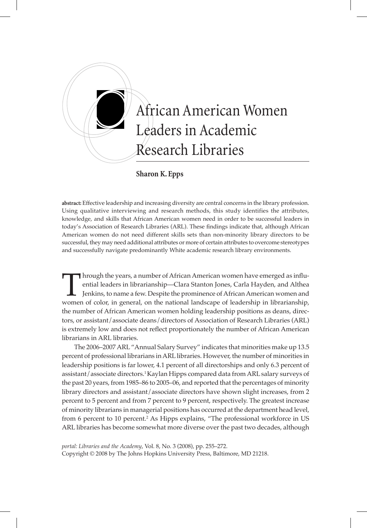

**Sharon K. Epps**

**abstract:** Effective leadership and increasing diversity are central concerns in the library profession. Using qualitative interviewing and research methods, this study identifies the attributes, knowledge, and skills that African American women need in order to be successful leaders in today's Association of Research Libraries (ARL). These findings indicate that, although African American women do not need different skills sets than non-minority library directors to be successful, they may need additional attributes or more of certain attributes to overcome stereotypes and successfully navigate predominantly White academic research library environments.

Intrough the years, a number of African American women have emerged as influential leaders in librarianship—Clara Stanton Jones, Carla Hayden, and Althea Jenkins, to name a few. Despite the prominence of African American w ential leaders in librarianship—Clara Stanton Jones, Carla Hayden, and Althea Jenkins, to name a few. Despite the prominence of African American women and the number of African American women holding leadership positions as deans, directors, or assistant/associate deans/directors of Association of Research Libraries (ARL) is extremely low and does not reflect proportionately the number of African American librarians in ARL libraries.

The 2006–2007 ARL "Annual Salary Survey" indicates that minorities make up 13.5 percent of professional librarians in ARL libraries. However, the number of minorities in leadership positions is far lower, 4.1 percent of all directorships and only 6.3 percent of assistant/associate directors.1 Kaylan Hipps compared data from ARL salary surveys of the past 20 years, from 1985–86 to 2005–06, and reported that the percentages of minority library directors and assistant/associate directors have shown slight increases, from 2 percent to 5 percent and from 7 percent to 9 percent, respectively. The greatest increase of minority librarians in managerial positions has occurred at the department head level, from 6 percent to 10 percent.<sup>2</sup> As Hipps explains, "The professional workforce in US ARL libraries has become somewhat more diverse over the past two decades, although

*portal: Libraries and the Academy*, Vol. 8, No. 3 (2008), pp. 255–272. Copyright © 2008 by The Johns Hopkins University Press, Baltimore, MD 21218.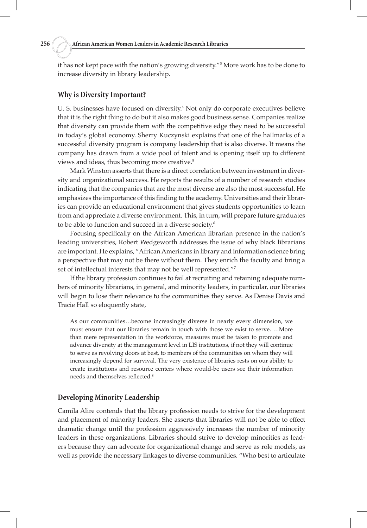it has not kept pace with the nation's growing diversity."3 More work has to be done to increase diversity in library leadership.

#### **Why is Diversity Important?**

U. S. businesses have focused on diversity.<sup>4</sup> Not only do corporate executives believe that it is the right thing to do but it also makes good business sense. Companies realize that diversity can provide them with the competitive edge they need to be successful in today's global economy. Sherry Kuczynski explains that one of the hallmarks of a successful diversity program is company leadership that is also diverse. It means the company has drawn from a wide pool of talent and is opening itself up to different views and ideas, thus becoming more creative.5

Mark Winston asserts that there is a direct correlation between investment in diversity and organizational success. He reports the results of a number of research studies indicating that the companies that are the most diverse are also the most successful. He emphasizes the importance of this finding to the academy. Universities and their libraries can provide an educational environment that gives students opportunities to learn from and appreciate a diverse environment. This, in turn, will prepare future graduates to be able to function and succeed in a diverse society.<sup>6</sup>

Focusing specifically on the African American librarian presence in the nation's leading universities, Robert Wedgeworth addresses the issue of why black librarians are important. He explains, "African Americans in library and information science bring a perspective that may not be there without them. They enrich the faculty and bring a set of intellectual interests that may not be well represented."7

If the library profession continues to fail at recruiting and retaining adequate numbers of minority librarians, in general, and minority leaders, in particular, our libraries will begin to lose their relevance to the communities they serve. As Denise Davis and Tracie Hall so eloquently state,

As our communities…become increasingly diverse in nearly every dimension, we must ensure that our libraries remain in touch with those we exist to serve. …More than mere representation in the workforce, measures must be taken to promote and advance diversity at the management level in LIS institutions, if not they will continue to serve as revolving doors at best, to members of the communities on whom they will increasingly depend for survival. The very existence of libraries rests on our ability to create institutions and resource centers where would-be users see their information needs and themselves reflected.<sup>8</sup>

# **Developing Minority Leadership**

Camila Alire contends that the library profession needs to strive for the development and placement of minority leaders. She asserts that libraries will not be able to effect dramatic change until the profession aggressively increases the number of minority leaders in these organizations. Libraries should strive to develop minorities as leaders because they can advocate for organizational change and serve as role models, as well as provide the necessary linkages to diverse communities. "Who best to articulate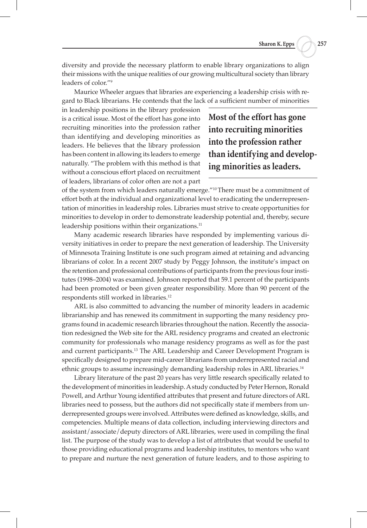diversity and provide the necessary platform to enable library organizations to align their missions with the unique realities of our growing multicultural society than library leaders of color."9

Maurice Wheeler argues that libraries are experiencing a leadership crisis with regard to Black librarians. He contends that the lack of a sufficient number of minorities

in leadership positions in the library profession is a critical issue. Most of the effort has gone into recruiting minorities into the profession rather than identifying and developing minorities as leaders. He believes that the library profession has been content in allowing its leaders to emerge naturally. "The problem with this method is that without a conscious effort placed on recruitment of leaders, librarians of color often are not a part

**Most of the effort has gone into recruiting minorities into the profession rather than identifying and developing minorities as leaders.** 

of the system from which leaders naturally emerge."10 There must be a commitment of effort both at the individual and organizational level to eradicating the underrepresentation of minorities in leadership roles. Libraries must strive to create opportunities for minorities to develop in order to demonstrate leadership potential and, thereby, secure leadership positions within their organizations.<sup>11</sup>

Many academic research libraries have responded by implementing various diversity initiatives in order to prepare the next generation of leadership. The University of Minnesota Training Institute is one such program aimed at retaining and advancing librarians of color. In a recent 2007 study by Peggy Johnson, the institute's impact on the retention and professional contributions of participants from the previous four institutes (1998–2004) was examined. Johnson reported that 59.1 percent of the participants had been promoted or been given greater responsibility. More than 90 percent of the respondents still worked in libraries.12

ARL is also committed to advancing the number of minority leaders in academic librarianship and has renewed its commitment in supporting the many residency programs found in academic research libraries throughout the nation. Recently the association redesigned the Web site for the ARL residency programs and created an electronic community for professionals who manage residency programs as well as for the past and current participants.13 The ARL Leadership and Career Development Program is specifically designed to prepare mid-career librarians from underrepresented racial and ethnic groups to assume increasingly demanding leadership roles in ARL libraries.14

Library literature of the past 20 years has very little research specifically related to the development of minorities in leadership. A study conducted by Peter Hernon, Ronald Powell, and Arthur Young identified attributes that present and future directors of ARL libraries need to possess, but the authors did not specifically state if members from underrepresented groups were involved. Attributes were defined as knowledge, skills, and competencies. Multiple means of data collection, including interviewing directors and assistant/associate/deputy directors of ARL libraries, were used in compiling the final list. The purpose of the study was to develop a list of attributes that would be useful to those providing educational programs and leadership institutes, to mentors who want to prepare and nurture the next generation of future leaders, and to those aspiring to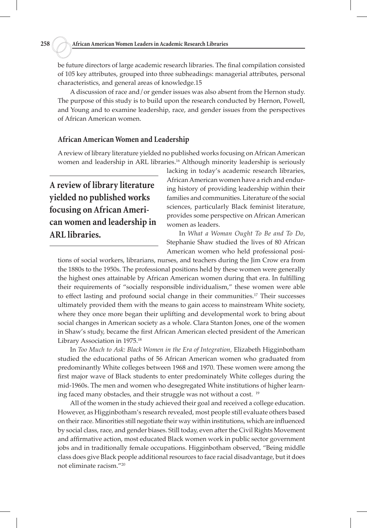be future directors of large academic research libraries. The final compilation consisted of 105 key attributes, grouped into three subheadings: managerial attributes, personal characteristics, and general areas of knowledge.15

A discussion of race and/or gender issues was also absent from the Hernon study. The purpose of this study is to build upon the research conducted by Hernon, Powell, and Young and to examine leadership, race, and gender issues from the perspectives of African American women.

# **African American Women and Leadership**

A review of library literature yielded no published works focusing on African American women and leadership in ARL libraries.<sup>16</sup> Although minority leadership is seriously

# **A review of library literature yielded no published works focusing on African American women and leadership in ARL libraries.**

lacking in today's academic research libraries, African American women have a rich and enduring history of providing leadership within their families and communities. Literature of the social sciences, particularly Black feminist literature, provides some perspective on African American women as leaders.

In *What a Woman Ought To Be and To Do*, Stephanie Shaw studied the lives of 80 African American women who held professional posi-

tions of social workers, librarians, nurses, and teachers during the Jim Crow era from the 1880s to the 1950s. The professional positions held by these women were generally the highest ones attainable by African American women during that era. In fulfilling their requirements of "socially responsible individualism," these women were able to effect lasting and profound social change in their communities.<sup>17</sup> Their successes ultimately provided them with the means to gain access to mainstream White society, where they once more began their uplifting and developmental work to bring about social changes in American society as a whole. Clara Stanton Jones, one of the women in Shaw's study, became the first African American elected president of the American Library Association in 1975.18

In *Too Much to Ask: Black Women in the Era of Integration,* Elizabeth Higginbotham studied the educational paths of 56 African American women who graduated from predominantly White colleges between 1968 and 1970. These women were among the first major wave of Black students to enter predominately White colleges during the mid-1960s. The men and women who desegregated White institutions of higher learning faced many obstacles, and their struggle was not without a cost. 19

All of the women in the study achieved their goal and received a college education. However, as Higginbotham's research revealed, most people still evaluate others based on their race. Minorities still negotiate their way within institutions, which are influenced by social class, race, and gender biases. Still today, even after the Civil Rights Movement and affirmative action, most educated Black women work in public sector government jobs and in traditionally female occupations. Higginbotham observed, "Being middle class does give Black people additional resources to face racial disadvantage, but it does not eliminate racism."20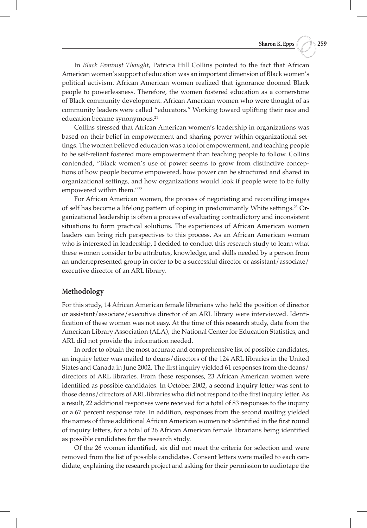In *Black Feminist Thought*, Patricia Hill Collins pointed to the fact that African American women's support of education was an important dimension of Black women's political activism. African American women realized that ignorance doomed Black people to powerlessness. Therefore, the women fostered education as a cornerstone of Black community development. African American women who were thought of as community leaders were called "educators." Working toward uplifting their race and education became synonymous.<sup>21</sup>

Collins stressed that African American women's leadership in organizations was based on their belief in empowerment and sharing power within organizational settings. The women believed education was a tool of empowerment, and teaching people to be self-reliant fostered more empowerment than teaching people to follow. Collins contended, "Black women's use of power seems to grow from distinctive conceptions of how people become empowered, how power can be structured and shared in organizational settings, and how organizations would look if people were to be fully empowered within them."<sup>22</sup>

For African American women, the process of negotiating and reconciling images of self has become a lifelong pattern of coping in predominantly White settings.23 Organizational leadership is often a process of evaluating contradictory and inconsistent situations to form practical solutions. The experiences of African American women leaders can bring rich perspectives to this process. As an African American woman who is interested in leadership, I decided to conduct this research study to learn what these women consider to be attributes, knowledge, and skills needed by a person from an underrepresented group in order to be a successful director or assistant/associate/ executive director of an ARL library.

#### **Methodology**

For this study, 14 African American female librarians who held the position of director or assistant/associate/executive director of an ARL library were interviewed. Identification of these women was not easy. At the time of this research study, data from the American Library Association (ALA), the National Center for Education Statistics, and ARL did not provide the information needed.

In order to obtain the most accurate and comprehensive list of possible candidates, an inquiry letter was mailed to deans/directors of the 124 ARL libraries in the United States and Canada in June 2002. The first inquiry yielded 61 responses from the deans/ directors of ARL libraries. From these responses, 23 African American women were identified as possible candidates. In October 2002, a second inquiry letter was sent to those deans/directors of ARL libraries who did not respond to the first inquiry letter. As a result, 22 additional responses were received for a total of 83 responses to the inquiry or a 67 percent response rate. In addition, responses from the second mailing yielded the names of three additional African American women not identified in the first round of inquiry letters, for a total of 26 African American female librarians being identified as possible candidates for the research study.

Of the 26 women identified, six did not meet the criteria for selection and were removed from the list of possible candidates. Consent letters were mailed to each candidate, explaining the research project and asking for their permission to audiotape the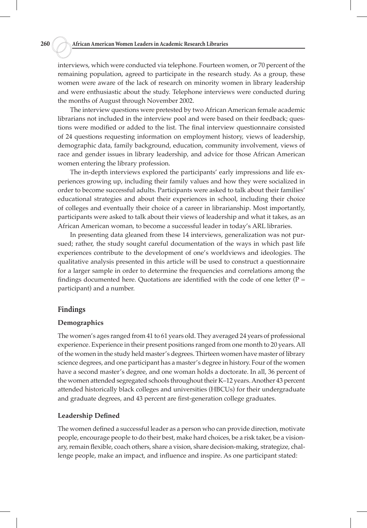interviews, which were conducted via telephone. Fourteen women, or 70 percent of the remaining population, agreed to participate in the research study. As a group, these women were aware of the lack of research on minority women in library leadership and were enthusiastic about the study. Telephone interviews were conducted during the months of August through November 2002.

The interview questions were pretested by two African American female academic librarians not included in the interview pool and were based on their feedback; questions were modified or added to the list. The final interview questionnaire consisted of 24 questions requesting information on employment history, views of leadership, demographic data, family background, education, community involvement, views of race and gender issues in library leadership, and advice for those African American women entering the library profession.

The in-depth interviews explored the participants' early impressions and life experiences growing up, including their family values and how they were socialized in order to become successful adults. Participants were asked to talk about their families' educational strategies and about their experiences in school, including their choice of colleges and eventually their choice of a career in librarianship. Most importantly, participants were asked to talk about their views of leadership and what it takes, as an African American woman, to become a successful leader in today's ARL libraries.

In presenting data gleaned from these 14 interviews, generalization was not pursued; rather, the study sought careful documentation of the ways in which past life experiences contribute to the development of one's worldviews and ideologies. The qualitative analysis presented in this article will be used to construct a questionnaire for a larger sample in order to determine the frequencies and correlations among the findings documented here. Quotations are identified with the code of one letter ( $P =$ participant) and a number.

# **Findings**

#### **Demographics**

The women's ages ranged from 41 to 61 years old. They averaged 24 years of professional experience. Experience in their present positions ranged from one month to 20 years. All of the women in the study held master's degrees. Thirteen women have master of library science degrees, and one participant has a master's degree in history. Four of the women have a second master's degree, and one woman holds a doctorate. In all, 36 percent of the women attended segregated schools throughout their K–12 years. Another 43 percent attended historically black colleges and universities (HBCUs) for their undergraduate and graduate degrees, and 43 percent are first-generation college graduates.

# **Leadership Defined**

The women defined a successful leader as a person who can provide direction, motivate people, encourage people to do their best, make hard choices, be a risk taker, be a visionary, remain flexible, coach others, share a vision, share decision-making, strategize, challenge people, make an impact, and influence and inspire. As one participant stated: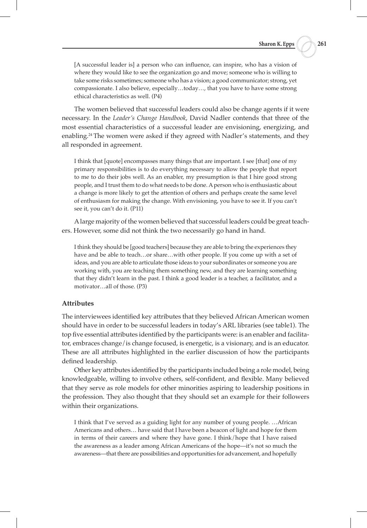[A successful leader is] a person who can influence, can inspire, who has a vision of where they would like to see the organization go and move; someone who is willing to take some risks sometimes; someone who has a vision; a good communicator; strong, yet compassionate. I also believe, especially…today…, that you have to have some strong ethical characteristics as well. (P4)

The women believed that successful leaders could also be change agents if it were necessary. In the *Leader's Change Handbook*, David Nadler contends that three of the most essential characteristics of a successful leader are envisioning, energizing, and enabling.24 The women were asked if they agreed with Nadler's statements, and they all responded in agreement.

I think that [quote] encompasses many things that are important. I see [that] one of my primary responsibilities is to do everything necessary to allow the people that report to me to do their jobs well. As an enabler, my presumption is that I hire good strong people, and I trust them to do what needs to be done. A person who is enthusiastic about a change is more likely to get the attention of others and perhaps create the same level of enthusiasm for making the change. With envisioning, you have to see it. If you can't see it, you can't do it. (P11)

A large majority of the women believed that successful leaders could be great teachers. However, some did not think the two necessarily go hand in hand.

I think they should be [good teachers] because they are able to bring the experiences they have and be able to teach…or share…with other people. If you come up with a set of ideas, and you are able to articulate those ideas to your subordinates or someone you are working with, you are teaching them something new, and they are learning something that they didn't learn in the past. I think a good leader is a teacher, a facilitator, and a motivator…all of those. (P3)

#### **Attributes**

The interviewees identified key attributes that they believed African American women should have in order to be successful leaders in today's ARL libraries (see table1). The top five essential attributes identified by the participants were: is an enabler and facilitator, embraces change/is change focused, is energetic, is a visionary, and is an educator. These are all attributes highlighted in the earlier discussion of how the participants defined leadership.

Other key attributes identified by the participants included being a role model, being knowledgeable, willing to involve others, self-confident, and flexible. Many believed that they serve as role models for other minorities aspiring to leadership positions in the profession. They also thought that they should set an example for their followers within their organizations.

I think that I've served as a guiding light for any number of young people. …African Americans and others… have said that I have been a beacon of light and hope for them in terms of their careers and where they have gone. I think/hope that I have raised the awareness as a leader among African Americans of the hope—it's not so much the awareness—that there are possibilities and opportunities for advancement, and hopefully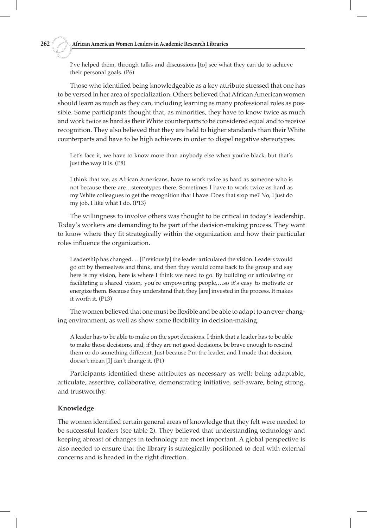I've helped them, through talks and discussions [to] see what they can do to achieve their personal goals. (P6)

Those who identified being knowledgeable as a key attribute stressed that one has to be versed in her area of specialization. Others believed that African American women should learn as much as they can, including learning as many professional roles as possible. Some participants thought that, as minorities, they have to know twice as much and work twice as hard as their White counterparts to be considered equal and to receive recognition. They also believed that they are held to higher standards than their White counterparts and have to be high achievers in order to dispel negative stereotypes.

Let's face it, we have to know more than anybody else when you're black, but that's just the way it is. (P8)

I think that we, as African Americans, have to work twice as hard as someone who is not because there are…stereotypes there. Sometimes I have to work twice as hard as my White colleagues to get the recognition that I have. Does that stop me? No, I just do my job. I like what I do. (P13)

The willingness to involve others was thought to be critical in today's leadership. Today's workers are demanding to be part of the decision-making process. They want to know where they fit strategically within the organization and how their particular roles influence the organization.

Leadership has changed. …[Previously] the leader articulated the vision. Leaders would go off by themselves and think, and then they would come back to the group and say here is my vision, here is where I think we need to go. By building or articulating or facilitating a shared vision, you're empowering people,…so it's easy to motivate or energize them. Because they understand that, they [are] invested in the process. It makes it worth it. (P13)

The women believed that one must be flexible and be able to adapt to an ever-changing environment, as well as show some flexibility in decision-making.

A leader has to be able to make on the spot decisions. I think that a leader has to be able to make those decisions, and, if they are not good decisions, be brave enough to rescind them or do something different. Just because I'm the leader, and I made that decision, doesn't mean [I] can't change it. (P1)

Participants identified these attributes as necessary as well: being adaptable, articulate, assertive, collaborative, demonstrating initiative, self-aware, being strong, and trustworthy.

# **Knowledge**

The women identified certain general areas of knowledge that they felt were needed to be successful leaders (see table 2). They believed that understanding technology and keeping abreast of changes in technology are most important. A global perspective is also needed to ensure that the library is strategically positioned to deal with external concerns and is headed in the right direction.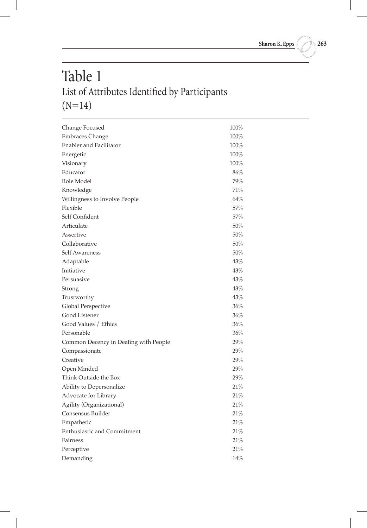# Table 1 List of Attributes Identified by Participants  $(N=14)$

| Change Focused                        | $100\%$ |
|---------------------------------------|---------|
| <b>Embraces Change</b>                | $100\%$ |
| Enabler and Facilitator               | $100\%$ |
| Energetic                             | 100%    |
| Visionary                             | 100%    |
| Educator                              | 86%     |
| Role Model                            | 79%     |
| Knowledge                             | 71%     |
| Willingness to Involve People         | 64%     |
| Flexible                              | 57%     |
| Self Confident                        | 57%     |
| Articulate                            | 50%     |
| Assertive                             | 50%     |
| Collaborative                         | 50%     |
| Self Awareness                        | 50%     |
| Adaptable                             | 43%     |
| Initiative                            | $43\%$  |
| Persuasive                            | 43%     |
| Strong                                | 43%     |
| Trustworthy                           | 43%     |
| <b>Global Perspective</b>             | $36\%$  |
| Good Listener                         | 36%     |
| Good Values / Ethics                  | 36%     |
| Personable                            | 36%     |
| Common Decency in Dealing with People | 29%     |
| Compassionate                         | 29%     |
| Creative                              | 29%     |
| Open Minded                           | 29%     |
| Think Outside the Box                 | 29%     |
| Ability to Depersonalize              | 21%     |
| Advocate for Library                  | 21%     |
| Agility (Organizational)              | 21%     |
| Consensus Builder                     | 21%     |
| Empathetic                            | 21%     |
| Enthusiastic and Commitment           | 21%     |
| Fairness                              | 21%     |
| Perceptive                            | 21%     |
| Demanding                             | 14%     |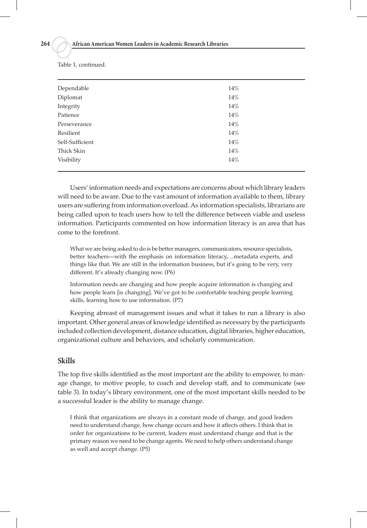| Dependable      | 14% |
|-----------------|-----|
| Diplomat        | 14% |
| Integrity       | 14% |
| Patience        | 14% |
| Perseverance    | 14% |
| Resilient       | 14% |
| Self-Sufficient | 14% |
| Thick Skin      | 14% |
| Visibility      | 14% |
|                 |     |

Table 1, continued.

Users' information needs and expectations are concerns about which library leaders will need to be aware. Due to the vast amount of information available to them, library users are suffering from information overload. As information specialists, librarians are being called upon to teach users how to tell the difference between viable and useless information. Participants commented on how information literacy is an area that has come to the forefront.

What we are being asked to do is be better managers, communicators, resource specialists, better teachers—with the emphasis on information literacy,…metadata experts, and things like that. We are still in the information business, but it's going to be very, very different. It's already changing now. (P6)

Information needs are changing and how people acquire information is changing and how people learn [is changing]. We've got to be comfortable teaching people learning skills, learning how to use information. (P7)

Keeping abreast of management issues and what it takes to run a library is also important. Other general areas of knowledge identified as necessary by the participants included collection development, distance education, digital libraries, higher education, organizational culture and behaviors, and scholarly communication.

# **Skills**

The top five skills identified as the most important are the ability to empower, to manage change, to motive people, to coach and develop staff, and to communicate (see table 3). In today's library environment, one of the most important skills needed to be a successful leader is the ability to manage change.

I think that organizations are always in a constant mode of change, and good leaders need to understand change, how change occurs and how it affects others. I think that in order for organizations to be current, leaders must understand change and that is the primary reason we need to be change agents. We need to help others understand change as well and accept change. (P5)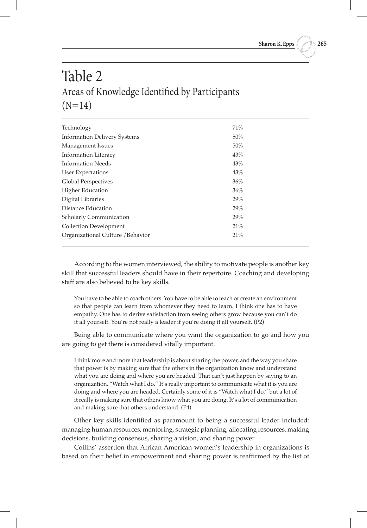# Table 2 Areas of Knowledge Identified by Participants  $(N=14)$

| Technology                          | 71% |
|-------------------------------------|-----|
| <b>Information Delivery Systems</b> | 50% |
| Management Issues                   | 50% |
| <b>Information Literacy</b>         | 43% |
| <b>Information Needs</b>            | 43% |
| User Expectations                   | 43% |
| <b>Global Perspectives</b>          | 36% |
| <b>Higher Education</b>             | 36% |
| Digital Libraries                   | 29% |
| Distance Education                  | 29% |
| Scholarly Communication             | 29% |
| <b>Collection Development</b>       | 21% |
| Organizational Culture / Behavior   | 21% |
|                                     |     |

According to the women interviewed, the ability to motivate people is another key skill that successful leaders should have in their repertoire. Coaching and developing staff are also believed to be key skills.

You have to be able to coach others. You have to be able to teach or create an environment so that people can learn from whomever they need to learn. I think one has to have empathy. One has to derive satisfaction from seeing others grow because you can't do it all yourself. You're not really a leader if you're doing it all yourself. (P2)

Being able to communicate where you want the organization to go and how you are going to get there is considered vitally important.

I think more and more that leadership is about sharing the power, and the way you share that power is by making sure that the others in the organization know and understand what you are doing and where you are headed. That can't just happen by saying to an organization, "Watch what I do." It's really important to communicate what it is you are doing and where you are headed. Certainly some of it is "Watch what I do," but a lot of it really is making sure that others know what you are doing. It's a lot of communication and making sure that others understand. (P4)

Other key skills identified as paramount to being a successful leader included: managing human resources, mentoring, strategic planning, allocating resources, making decisions, building consensus, sharing a vision, and sharing power.

Collins' assertion that African American women's leadership in organizations is based on their belief in empowerment and sharing power is reaffirmed by the list of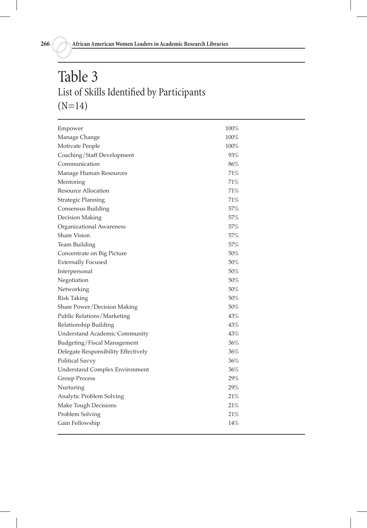# Table 3 List of Skills Identified by Participants (N=14)

| Empower                               | 100%   |
|---------------------------------------|--------|
| Manage Change                         | 100%   |
| Motivate People                       | 100%   |
| Coaching/Staff Development            | 93%    |
| Communication                         | 86%    |
| Manage Human Resources                | 71%    |
| Mentoring                             | 71%    |
| <b>Resource Allocation</b>            | 71%    |
| Strategic Planning                    | 71%    |
| Consensus Building                    | 57%    |
| Decision Making                       | 57%    |
| Organizational Awareness              | 57%    |
| <b>Share Vision</b>                   | 57%    |
| <b>Team Building</b>                  | 57%    |
| Concentrate on Big Picture            | 50%    |
| <b>Externally Focused</b>             | 50%    |
| Interpersonal                         | 50%    |
| Negotiation                           | 50%    |
| Networking                            | 50%    |
| <b>Risk Taking</b>                    | 50%    |
| Share Power/Decision Making           | 50%    |
| Public Relations/Marketing            | 43%    |
| Relationship Building                 | 43%    |
| <b>Understand Academic Community</b>  | 43%    |
| Budgeting/Fiscal Management           | 36%    |
| Delegate Responsibility Effectively   | 36%    |
| <b>Political Savvy</b>                | 36%    |
| <b>Understand Complex Environment</b> | 36%    |
| <b>Group Process</b>                  | 29%    |
| Nurturing                             | 29%    |
| Analytic Problem Solving              | $21\%$ |
| Make Tough Decisions                  | 21%    |
| Problem Solving                       | 21%    |
| Gain Fellowship                       | 14%    |
|                                       |        |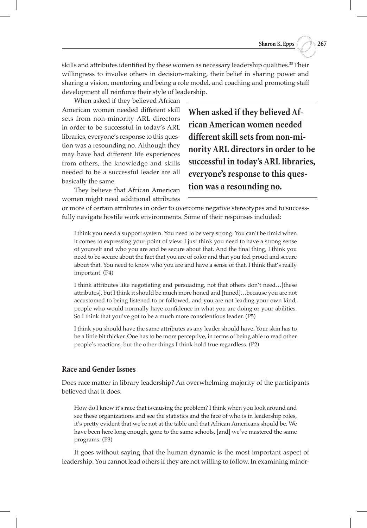skills and attributes identified by these women as necessary leadership qualities.25 Their willingness to involve others in decision-making, their belief in sharing power and sharing a vision, mentoring and being a role model, and coaching and promoting staff development all reinforce their style of leadership.

When asked if they believed African American women needed different skill sets from non-minority ARL directors in order to be successful in today's ARL libraries, everyone's response to this question was a resounding no. Although they may have had different life experiences from others, the knowledge and skills needed to be a successful leader are all basically the same.

They believe that African American women might need additional attributes

**When asked if they believed African American women needed different skill sets from non-minority ARL directors in order to be successful in today's ARL libraries, everyone's response to this question was a resounding no.** 

or more of certain attributes in order to overcome negative stereotypes and to successfully navigate hostile work environments. Some of their responses included:

I think you need a support system. You need to be very strong. You can't be timid when it comes to expressing your point of view. I just think you need to have a strong sense of yourself and who you are and be secure about that. And the final thing, I think you need to be secure about the fact that you are of color and that you feel proud and secure about that. You need to know who you are and have a sense of that. I think that's really important. (P4)

I think attributes like negotiating and persuading, not that others don't need…[these attributes], but I think it should be much more honed and [tuned]…because you are not accustomed to being listened to or followed, and you are not leading your own kind, people who would normally have confidence in what you are doing or your abilities. So I think that you've got to be a much more conscientious leader. (P5)

I think you should have the same attributes as any leader should have. Your skin has to be a little bit thicker. One has to be more perceptive, in terms of being able to read other people's reactions, but the other things I think hold true regardless. (P2)

# **Race and Gender Issues**

Does race matter in library leadership? An overwhelming majority of the participants believed that it does.

How do I know it's race that is causing the problem? I think when you look around and see these organizations and see the statistics and the face of who is in leadership roles, it's pretty evident that we're not at the table and that African Americans should be. We have been here long enough, gone to the same schools, [and] we've mastered the same programs. (P3)

It goes without saying that the human dynamic is the most important aspect of leadership. You cannot lead others if they are not willing to follow. In examining minor-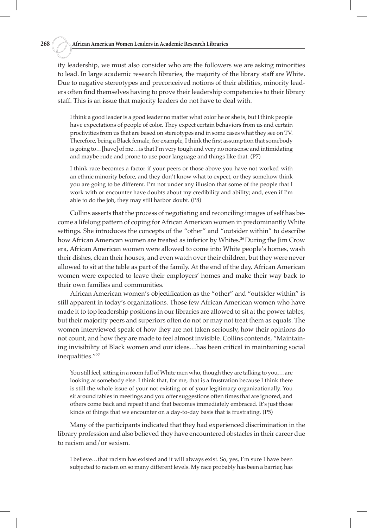ity leadership, we must also consider who are the followers we are asking minorities to lead. In large academic research libraries, the majority of the library staff are White. Due to negative stereotypes and preconceived notions of their abilities, minority leaders often find themselves having to prove their leadership competencies to their library staff. This is an issue that majority leaders do not have to deal with.

I think a good leader is a good leader no matter what color he or she is, but I think people have expectations of people of color. They expect certain behaviors from us and certain proclivities from us that are based on stereotypes and in some cases what they see on TV. Therefore, being a Black female, for example, I think the first assumption that somebody is going to…[have] of me…is that I'm very tough and very no nonsense and intimidating and maybe rude and prone to use poor language and things like that. (P7)

I think race becomes a factor if your peers or those above you have not worked with an ethnic minority before, and they don't know what to expect, or they somehow think you are going to be different. I'm not under any illusion that some of the people that I work with or encounter have doubts about my credibility and ability; and, even if I'm able to do the job, they may still harbor doubt. (P8)

Collins asserts that the process of negotiating and reconciling images of self has become a lifelong pattern of coping for African American women in predominantly White settings. She introduces the concepts of the "other" and "outsider within" to describe how African American women are treated as inferior by Whites.<sup>26</sup> During the Jim Crow era, African American women were allowed to come into White people's homes, wash their dishes, clean their houses, and even watch over their children, but they were never allowed to sit at the table as part of the family. At the end of the day, African American women were expected to leave their employers' homes and make their way back to their own families and communities.

African American women's objectification as the "other" and "outsider within" is still apparent in today's organizations. Those few African American women who have made it to top leadership positions in our libraries are allowed to sit at the power tables, but their majority peers and superiors often do not or may not treat them as equals. The women interviewed speak of how they are not taken seriously, how their opinions do not count, and how they are made to feel almost invisible. Collins contends, "Maintaining invisibility of Black women and our ideas…has been critical in maintaining social inequalities."27

You still feel, sitting in a room full of White men who, though they are talking to you,…are looking at somebody else. I think that, for me, that is a frustration because I think there is still the whole issue of your not existing or of your legitimacy organizationally. You sit around tables in meetings and you offer suggestions often times that are ignored, and others come back and repeat it and that becomes immediately embraced. It's just those kinds of things that we encounter on a day-to-day basis that is frustrating. (P5)

Many of the participants indicated that they had experienced discrimination in the library profession and also believed they have encountered obstacles in their career due to racism and/or sexism.

I believe…that racism has existed and it will always exist. So, yes, I'm sure I have been subjected to racism on so many different levels. My race probably has been a barrier, has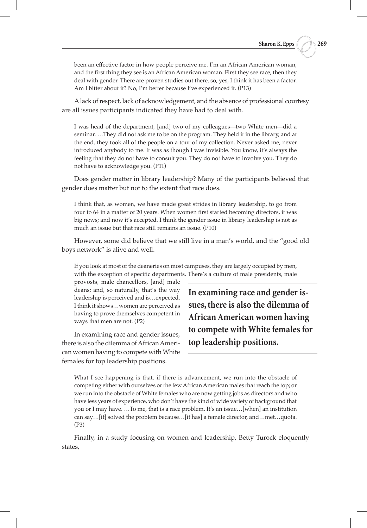been an effective factor in how people perceive me. I'm an African American woman, and the first thing they see is an African American woman. First they see race, then they deal with gender. There are proven studies out there, so, yes, I think it has been a factor. Am I bitter about it? No, I'm better because I've experienced it. (P13)

A lack of respect, lack of acknowledgement, and the absence of professional courtesy are all issues participants indicated they have had to deal with.

I was head of the department, [and] two of my colleagues—two White men—did a seminar. …They did not ask me to be on the program. They held it in the library, and at the end, they took all of the people on a tour of my collection. Never asked me, never introduced anybody to me. It was as though I was invisible. You know, it's always the feeling that they do not have to consult you. They do not have to involve you. They do not have to acknowledge you. (P11)

Does gender matter in library leadership? Many of the participants believed that gender does matter but not to the extent that race does.

I think that, as women, we have made great strides in library leadership, to go from four to 64 in a matter of 20 years. When women first started becoming directors, it was big news; and now it's accepted. I think the gender issue in library leadership is not as much an issue but that race still remains an issue. (P10)

However, some did believe that we still live in a man's world, and the "good old boys network" is alive and well.

If you look at most of the deaneries on most campuses, they are largely occupied by men, with the exception of specific departments. There's a culture of male presidents, male

provosts, male chancellors, [and] male deans; and, so naturally, that's the way leadership is perceived and is…expected. I think it shows…women are perceived as having to prove themselves competent in ways that men are not. (P2)

In examining race and gender issues, there is also the dilemma of African American women having to compete with White females for top leadership positions.

**In examining race and gender issues, there is also the dilemma of African American women having to compete with White females for top leadership positions.**

What I see happening is that, if there is advancement, we run into the obstacle of competing either with ourselves or the few African American males that reach the top; or we run into the obstacle of White females who are now getting jobs as directors and who have less years of experience, who don't have the kind of wide variety of background that you or I may have. …To me, that is a race problem. It's an issue…[when] an institution can say…[it] solved the problem because…[it has] a female director, and…met…quota. (P3)

Finally, in a study focusing on women and leadership, Betty Turock eloquently states,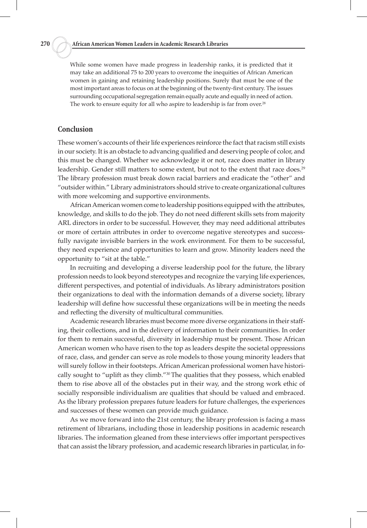While some women have made progress in leadership ranks, it is predicted that it may take an additional 75 to 200 years to overcome the inequities of African American women in gaining and retaining leadership positions. Surely that must be one of the most important areas to focus on at the beginning of the twenty-first century. The issues surrounding occupational segregation remain equally acute and equally in need of action. The work to ensure equity for all who aspire to leadership is far from over.<sup>28</sup>

# **Conclusion**

These women's accounts of their life experiences reinforce the fact that racism still exists in our society. It is an obstacle to advancing qualified and deserving people of color, and this must be changed. Whether we acknowledge it or not, race does matter in library leadership. Gender still matters to some extent, but not to the extent that race does.<sup>29</sup> The library profession must break down racial barriers and eradicate the "other" and "outsider within." Library administrators should strive to create organizational cultures with more welcoming and supportive environments.

African American women come to leadership positions equipped with the attributes, knowledge, and skills to do the job. They do not need different skills sets from majority ARL directors in order to be successful. However, they may need additional attributes or more of certain attributes in order to overcome negative stereotypes and successfully navigate invisible barriers in the work environment. For them to be successful, they need experience and opportunities to learn and grow. Minority leaders need the opportunity to "sit at the table."

In recruiting and developing a diverse leadership pool for the future, the library profession needs to look beyond stereotypes and recognize the varying life experiences, different perspectives, and potential of individuals. As library administrators position their organizations to deal with the information demands of a diverse society, library leadership will define how successful these organizations will be in meeting the needs and reflecting the diversity of multicultural communities.

Academic research libraries must become more diverse organizations in their staffing, their collections, and in the delivery of information to their communities. In order for them to remain successful, diversity in leadership must be present. Those African American women who have risen to the top as leaders despite the societal oppressions of race, class, and gender can serve as role models to those young minority leaders that will surely follow in their footsteps. African American professional women have historically sought to "uplift as they climb."<sup>30</sup> The qualities that they possess, which enabled them to rise above all of the obstacles put in their way, and the strong work ethic of socially responsible individualism are qualities that should be valued and embraced. As the library profession prepares future leaders for future challenges, the experiences and successes of these women can provide much guidance.

As we move forward into the 21st century, the library profession is facing a mass retirement of librarians, including those in leadership positions in academic research libraries. The information gleaned from these interviews offer important perspectives that can assist the library profession, and academic research libraries in particular, in fo-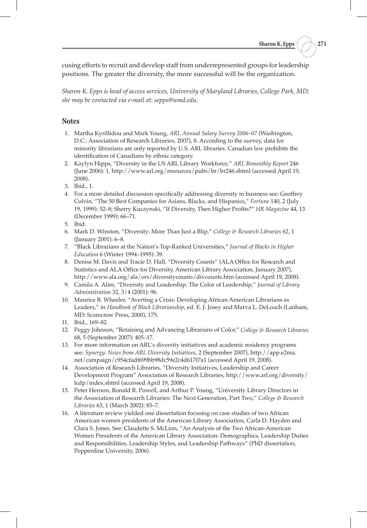cusing efforts to recruit and develop staff from underrepresented groups for leadership positions. The greater the diversity, the more successful will be the organization.

*Sharon K. Epps is head of access services, University of Maryland Libraries, College Park, MD; she may be contacted via e-mail at: sepps@umd.edu.*

# **Notes**

- 1. Martha Kyrillidou and Mark Young, *ARL Annual Salary Survey 2006–07* (Washington, D.C.: Association of Research Libraries, 2007), 8. According to the survey, data for minority librarians are only reported by U.S. ARL libraries. Canadian law prohibits the identification of Canadians by ethnic category.
- 2. Kaylyn Hipps, "Diversity in the US ARL Library Workforce," *ARL Bimonthly Report* 246 (June 2006): 1, http://www.arl.org/resources/pubs/br/br246.shtml (accessed April 19, 2008).
- 3. Ibid., 1.
- 4. For a more detailed discussion specifically addressing diversity in business see: Geoffrey Colvin, "The 50 Best Companies for Asians, Blacks, and Hispanics," *Fortune* 140, 2 (July 19, 1999): 52–8; Sherry Kuczynski, "If Diversity, Then Higher Profits?" *HR Magazine* 44, 13 (December 1999): 66–71.
- 5. Ibid.
- 6. Mark D. Winston, "Diversity: More Than Just a Blip," *College & Research Libraries* 62, 1 (January 2001): 6–8.
- 7. "Black Librarians at the Nation's Top-Ranked Universities," *Journal of Blacks in Higher Education* 6 (Winter 1994–1995): 39.
- 8. Denise M. Davis and Tracie D. Hall, "Diversity Counts" (ALA Office for Research and Statistics and ALA Office for Diversity, American Library Association, January 2007), http://www.ala.org/ala/ors/diversitycounts/divcounts.htm (accessed April 19, 2008).
- 9. Camila A. Alire, "Diversity and Leadership: The Color of Leadership," *Journal of Library Administration* 32, 3/4 (2001): 96.
- 10. Maurice B. Wheeler, "Averting a Crisis: Developing African American Librarians as Leaders," in *Handbook of Black Librarianship*, ed. E. J. Josey and Marva L. DeLoach (Lanham, MD: Scarecrow Press, 2000), 175.
- 11. Ibid., 169–82.
- 12. Peggy Johnson, "Retaining and Advancing Librarians of Color," *College & Research Libraries* 68, 5 (September 2007): 405–17.
- 13. For more information on ARL's diversity initiatives and academic residency programs see: *Synergy: News from ARL Diversity Initiatives*, 2 (September 2007), http://app.e2ma. net/campaign/c954cfadf699bb98dc59e2c4d617f7a1 (accessed April 19, 2008).
- 14. Association of Research Libraries, "Diversity Initiatives, Leadership and Career Development Program" Association of Research Libraries, http://www.arl.org/diversity/ lcdp/index.shtml (accessed April 19, 2008).
- 15. Peter Hernon, Ronald R. Powell, and Arthur P. Young, "University Library Directors in the Association of Research Libraries: The Next Generation, Part Two," *College & Research Libraries* 63, 1 (March 2002): 85–7.
- 16. A literature review yielded one dissertation focusing on case studies of two African American women presidents of the American Library Association, Carla D. Hayden and Clara S. Jones. See: Claudette S. McLinn, "An Analysis of the Two African-American Women Presidents of the American Library Association: Demographics, Leadership Duties and Responsibilities, Leadership Styles, and Leadership Pathways" (PhD dissertation, Pepperdine University, 2006).